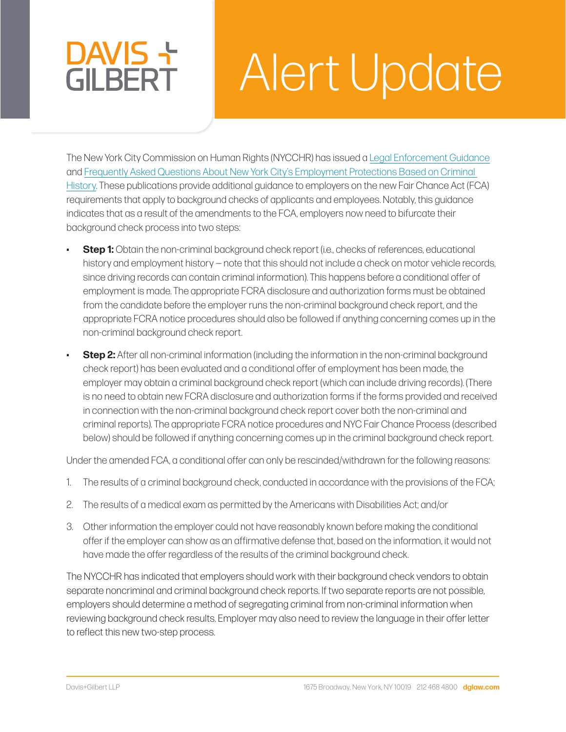# Alert Update

The New York City Commission on Human Rights (NYCCHR) has issued a [Legal Enforcement Guidance](https://www1.nyc.gov/assets/cchr/downloads/pdf/fca-guidance-july-15-2021.pdf) and [Frequently Asked Questions About New York City's Employment Protections Based on Criminal](https://www1.nyc.gov/assets/cchr/downloads/pdf/publications/FairChance_FAQ.pdf)  [History.](https://www1.nyc.gov/assets/cchr/downloads/pdf/publications/FairChance_FAQ.pdf) These publications provide additional guidance to employers on the new Fair Chance Act (FCA) requirements that apply to background checks of applicants and employees. Notably, this guidance indicates that as a result of the amendments to the FCA, employers now need to bifurcate their background check process into two steps:

- **Step 1:** Obtain the non-criminal background check report (i.e., checks of references, educational history and employment history — note that this should not include a check on motor vehicle records, since driving records can contain criminal information). This happens before a conditional offer of employment is made. The appropriate FCRA disclosure and authorization forms must be obtained from the candidate before the employer runs the non-criminal background check report, and the appropriate FCRA notice procedures should also be followed if anything concerning comes up in the non-criminal background check report.
- **Step 2:** After all non-criminal information (including the information in the non-criminal background check report) has been evaluated and a conditional offer of employment has been made, the employer may obtain a criminal background check report (which can include driving records). (There is no need to obtain new FCRA disclosure and authorization forms if the forms provided and received in connection with the non-criminal background check report cover both the non-criminal and criminal reports). The appropriate FCRA notice procedures and NYC Fair Chance Process (described below) should be followed if anything concerning comes up in the criminal background check report.

Under the amended FCA, a conditional offer can only be rescinded/withdrawn for the following reasons:

- 1. The results of a criminal background check, conducted in accordance with the provisions of the FCA;
- 2. The results of a medical exam as permitted by the Americans with Disabilities Act; and/or
- 3. Other information the employer could not have reasonably known before making the conditional offer if the employer can show as an affirmative defense that, based on the information, it would not have made the offer regardless of the results of the criminal background check.

The NYCCHR has indicated that employers should work with their background check vendors to obtain separate noncriminal and criminal background check reports. If two separate reports are not possible, employers should determine a method of segregating criminal from non-criminal information when reviewing background check results. Employer may also need to review the language in their offer letter to reflect this new two-step process.

DAVIS +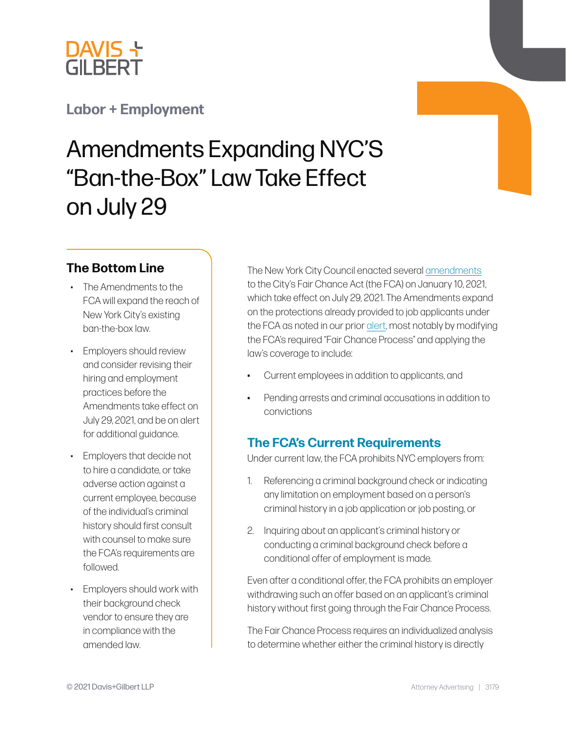

# **[Labor + Employment](https://www.dglaw.com/practice-area-details.cfm?pgcat=Labor%20%26%20Employment)**

# Amendments Expanding NYC'S "Ban-the-Box" Law Take Effect on July 29

### **The Bottom Line**

- The Amendments to the FCA will expand the reach of New York City's existing ban-the-box law.
- Employers should review and consider revising their hiring and employment practices before the Amendments take effect on July 29, 2021, and be on alert for additional guidance.
- Employers that decide not to hire a candidate, or take adverse action against a current employee, because of the individual's criminal history should first consult with counsel to make sure the FCA's requirements are followed.
- Employers should work with their background check vendor to ensure they are in compliance with the amended law.

The New York City Council enacted several [amendments](https://legistar.council.nyc.gov/View.ashx?M=F&ID=9222917&GUID=21EAF683-EA59-4FAD-97FB-CFE05EB92A80) to the City's Fair Chance Act (the FCA) on January 10, 2021, which take effect on July 29, 2021. The Amendments expand on the protections already provided to job applicants under the FCA as noted in our prior [alert,](https://www.dglaw.com/images_user/newsalerts/LaborEmp_NYC_Imposes_Limits_Employer_Inquiries.pdf) most notably by modifying the FCA's required "Fair Chance Process" and applying the law's coverage to include:

- Current employees in addition to applicants, and
- Pending arrests and criminal accusations in addition to convictions

# **The FCA's Current Requirements**

Under current law, the FCA prohibits NYC employers from:

- 1. Referencing a criminal background check or indicating any limitation on employment based on a person's criminal history in a job application or job posting, or
- 2. Inquiring about an applicant's criminal history or conducting a criminal background check before a conditional offer of employment is made.

Even after a conditional offer, the FCA prohibits an employer withdrawing such an offer based on an applicant's criminal history without first going through the Fair Chance Process.

The Fair Chance Process requires an individualized analysis to determine whether either the criminal history is directly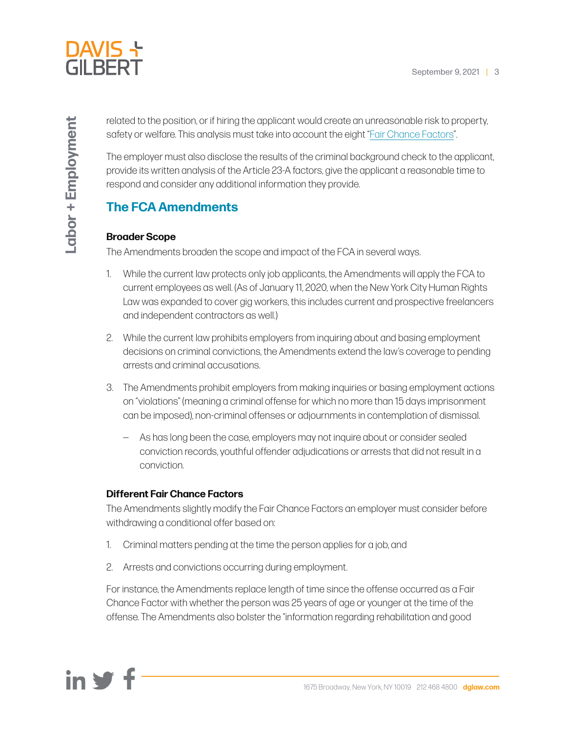

related to the position, or if hiring the applicant would create an unreasonable risk to property, safety or welfare. This analysis must take into account the eight "[Fair Chance Factors"](https://www.criminaljustice.ny.gov/pio/correction-law-article-23a.pdf).

The employer must also disclose the results of the criminal background check to the applicant, provide its written analysis of the Article 23-A factors, give the applicant a reasonable time to respond and consider any additional information they provide.

# **The FCA Amendments**

#### **Broader Scope**

The Amendments broaden the scope and impact of the FCA in several ways.

- 1. While the current law protects only job applicants, the Amendments will apply the FCA to current employees as well. (As of January 11, 2020, when the New York City Human Rights Law was expanded to cover gig workers, this includes current and prospective freelancers and independent contractors as well.)
- 2. While the current law prohibits employers from inquiring about and basing employment decisions on criminal convictions, the Amendments extend the law's coverage to pending arrests and criminal accusations.
- 3. The Amendments prohibit employers from making inquiries or basing employment actions on "violations" (meaning a criminal offense for which no more than 15 days imprisonment can be imposed), non-criminal offenses or adjournments in contemplation of dismissal.
	- ― As has long been the case, employers may not inquire about or consider sealed conviction records, youthful offender adjudications or arrests that did not result in a conviction.

#### **Different Fair Chance Factors**

The Amendments slightly modify the Fair Chance Factors an employer must consider before withdrawing a conditional offer based on:

- 1. Criminal matters pending at the time the person applies for a job, and
- 2. Arrests and convictions occurring during employment.

For instance, the Amendments replace length of time since the offense occurred as a Fair Chance Factor with whether the person was 25 years of age or younger at the time of the offense. The Amendments also bolster the "information regarding rehabilitation and good

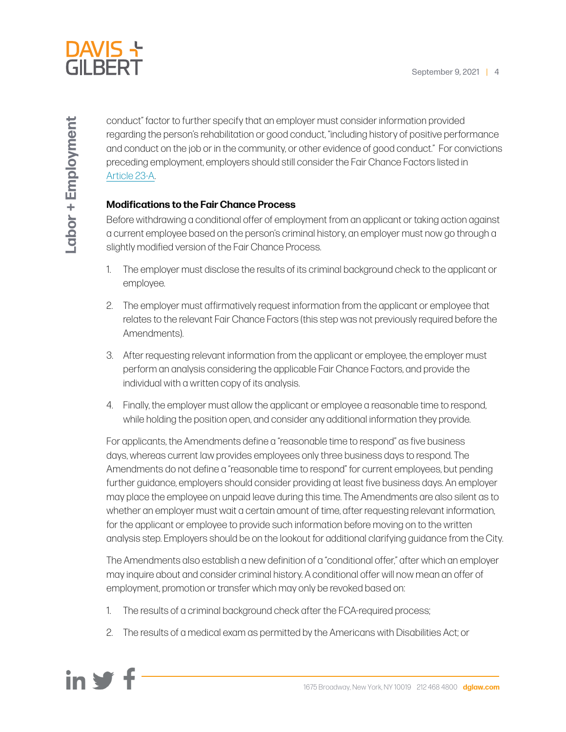

conduct" factor to further specify that an employer must consider information provided regarding the person's rehabilitation or good conduct, "including history of positive performance and conduct on the job or in the community, or other evidence of good conduct." For convictions preceding employment, employers should still consider the Fair Chance Factors listed in [Article 23-A](https://www.criminaljustice.ny.gov/pio/correction-law-article-23a.pdf).

#### **Modifications to the Fair Chance Process**

Before withdrawing a conditional offer of employment from an applicant or taking action against a current employee based on the person's criminal history, an employer must now go through a slightly modified version of the Fair Chance Process.

- 1. The employer must disclose the results of its criminal background check to the applicant or employee.
- 2. The employer must affirmatively request information from the applicant or employee that relates to the relevant Fair Chance Factors (this step was not previously required before the Amendments).
- 3. After requesting relevant information from the applicant or employee, the employer must perform an analysis considering the applicable Fair Chance Factors, and provide the individual with a written copy of its analysis.
- 4. Finally, the employer must allow the applicant or employee a reasonable time to respond, while holding the position open, and consider any additional information they provide.

For applicants, the Amendments define a "reasonable time to respond" as five business days, whereas current law provides employees only three business days to respond. The Amendments do not define a "reasonable time to respond" for current employees, but pending further guidance, employers should consider providing at least five business days. An employer may place the employee on unpaid leave during this time. The Amendments are also silent as to whether an employer must wait a certain amount of time, after requesting relevant information, for the applicant or employee to provide such information before moving on to the written analysis step. Employers should be on the lookout for additional clarifying guidance from the City.

The Amendments also establish a new definition of a "conditional offer," after which an employer may inquire about and consider criminal history. A conditional offer will now mean an offer of employment, promotion or transfer which may only be revoked based on:

- 1. The results of a criminal background check after the FCA-required process;
- 2. The results of a medical exam as permitted by the Americans with Disabilities Act; or